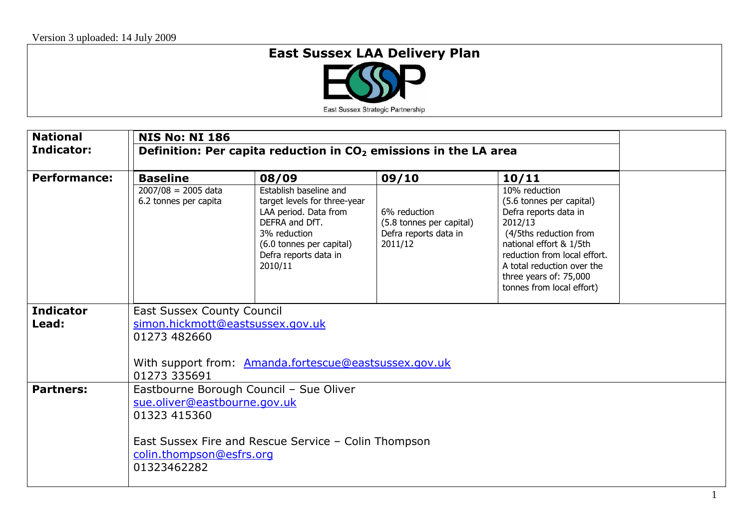## **East Sussex LAA Delivery Plan**



| <b>National</b>     | <b>NIS No: NI 186</b>                                                                                                     |                                                                                                                                                                                   |                                                                              |                                                                                                                                                                                                                                                           |  |  |  |
|---------------------|---------------------------------------------------------------------------------------------------------------------------|-----------------------------------------------------------------------------------------------------------------------------------------------------------------------------------|------------------------------------------------------------------------------|-----------------------------------------------------------------------------------------------------------------------------------------------------------------------------------------------------------------------------------------------------------|--|--|--|
| Indicator:          | Definition: Per capita reduction in $CO2$ emissions in the LA area                                                        |                                                                                                                                                                                   |                                                                              |                                                                                                                                                                                                                                                           |  |  |  |
| <b>Performance:</b> | <b>Baseline</b>                                                                                                           | 08/09                                                                                                                                                                             | 09/10                                                                        | 10/11                                                                                                                                                                                                                                                     |  |  |  |
|                     | $2007/08 = 2005$ data<br>6.2 tonnes per capita                                                                            | Establish baseline and<br>target levels for three-year<br>LAA period. Data from<br>DEFRA and DfT.<br>3% reduction<br>(6.0 tonnes per capital)<br>Defra reports data in<br>2010/11 | 6% reduction<br>(5.8 tonnes per capital)<br>Defra reports data in<br>2011/12 | $10%$ reduction<br>(5.6 tonnes per capital)<br>Defra reports data in<br>2012/13<br>(4/5ths reduction from<br>national effort & 1/5th<br>reduction from local effort.<br>A total reduction over the<br>three years of: 75,000<br>tonnes from local effort) |  |  |  |
| <b>Indicator</b>    | <b>East Sussex County Council</b>                                                                                         |                                                                                                                                                                                   |                                                                              |                                                                                                                                                                                                                                                           |  |  |  |
| Lead:               | simon.hickmott@eastsussex.gov.uk<br>01273 482660<br>With support from: Amanda.fortescue@eastsussex.gov.uk<br>01273 335691 |                                                                                                                                                                                   |                                                                              |                                                                                                                                                                                                                                                           |  |  |  |
|                     |                                                                                                                           |                                                                                                                                                                                   |                                                                              |                                                                                                                                                                                                                                                           |  |  |  |
| <b>Partners:</b>    |                                                                                                                           | Eastbourne Borough Council - Sue Oliver                                                                                                                                           |                                                                              |                                                                                                                                                                                                                                                           |  |  |  |
|                     | sue.oliver@eastbourne.gov.uk                                                                                              |                                                                                                                                                                                   |                                                                              |                                                                                                                                                                                                                                                           |  |  |  |
|                     | 01323 415360                                                                                                              |                                                                                                                                                                                   |                                                                              |                                                                                                                                                                                                                                                           |  |  |  |
|                     | East Sussex Fire and Rescue Service - Colin Thompson<br>colin.thompson@esfrs.org<br>01323462282                           |                                                                                                                                                                                   |                                                                              |                                                                                                                                                                                                                                                           |  |  |  |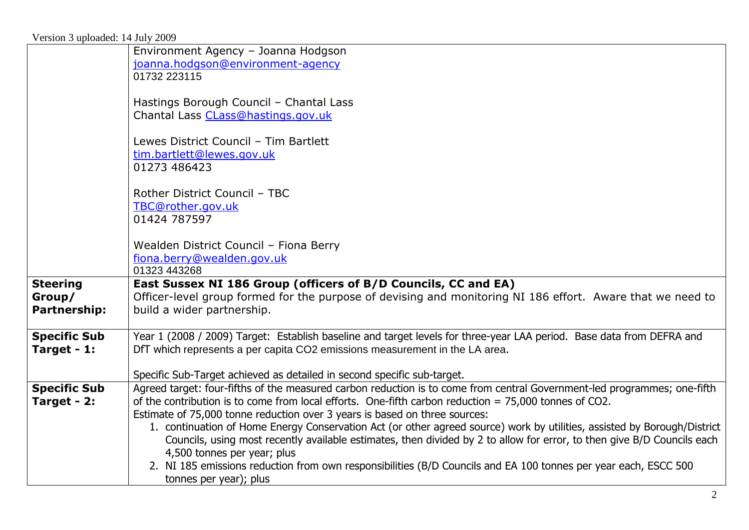| Environment Agency - Joanna Hodgson                                                                                                                                          |
|------------------------------------------------------------------------------------------------------------------------------------------------------------------------------|
| joanna.hodgson@environment-agency                                                                                                                                            |
| 01732 223115                                                                                                                                                                 |
|                                                                                                                                                                              |
| Hastings Borough Council - Chantal Lass<br>Chantal Lass CLass@hastings.gov.uk                                                                                                |
|                                                                                                                                                                              |
| Lewes District Council - Tim Bartlett                                                                                                                                        |
| tim.bartlett@lewes.gov.uk                                                                                                                                                    |
| 01273 486423                                                                                                                                                                 |
|                                                                                                                                                                              |
| Rother District Council - TBC                                                                                                                                                |
| TBC@rother.gov.uk                                                                                                                                                            |
| 01424 787597                                                                                                                                                                 |
|                                                                                                                                                                              |
| Wealden District Council - Fiona Berry                                                                                                                                       |
| fiona.berry@wealden.gov.uk                                                                                                                                                   |
| 01323 443268                                                                                                                                                                 |
| East Sussex NI 186 Group (officers of B/D Councils, CC and EA)<br>Officer-level group formed for the purpose of devising and monitoring NI 186 effort. Aware that we need to |
| build a wider partnership.                                                                                                                                                   |
|                                                                                                                                                                              |
| Year 1 (2008 / 2009) Target: Establish baseline and target levels for three-year LAA period. Base data from DEFRA and                                                        |
| DfT which represents a per capita CO2 emissions measurement in the LA area.                                                                                                  |
|                                                                                                                                                                              |
| Specific Sub-Target achieved as detailed in second specific sub-target.                                                                                                      |
| Agreed target: four-fifths of the measured carbon reduction is to come from central Government-led programmes; one-fifth                                                     |
| of the contribution is to come from local efforts. One-fifth carbon reduction $= 75,000$ tonnes of CO2.                                                                      |
| Estimate of 75,000 tonne reduction over 3 years is based on three sources:                                                                                                   |
|                                                                                                                                                                              |
| 1. continuation of Home Energy Conservation Act (or other agreed source) work by utilities, assisted by Borough/District                                                     |
| Councils, using most recently available estimates, then divided by 2 to allow for error, to then give B/D Councils each                                                      |
| 4,500 tonnes per year; plus<br>2. NI 185 emissions reduction from own responsibilities (B/D Councils and EA 100 tonnes per year each, ESCC 500                               |
|                                                                                                                                                                              |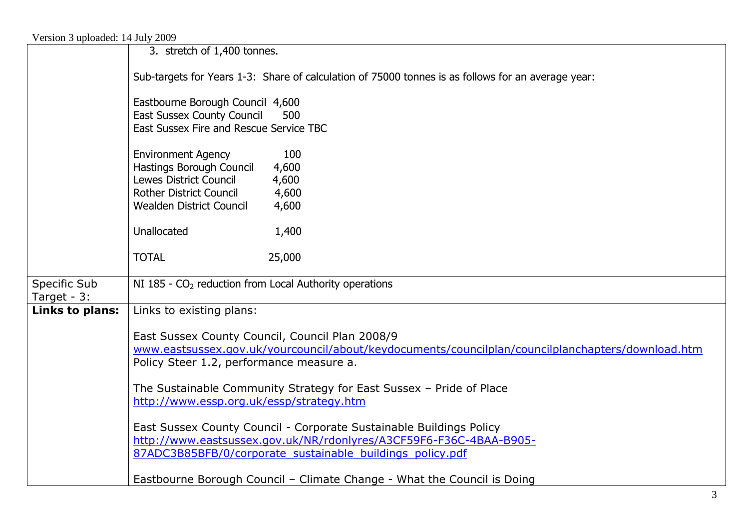| $\alpha$ croion $\beta$ aproacted. If $\alpha$ are $\beta$ 2007 |                                                                                                                                                      |  |  |  |  |  |  |  |
|-----------------------------------------------------------------|------------------------------------------------------------------------------------------------------------------------------------------------------|--|--|--|--|--|--|--|
|                                                                 | 3. stretch of 1,400 tonnes.                                                                                                                          |  |  |  |  |  |  |  |
|                                                                 | Sub-targets for Years 1-3: Share of calculation of 75000 tonnes is as follows for an average year:                                                   |  |  |  |  |  |  |  |
|                                                                 | Eastbourne Borough Council 4,600                                                                                                                     |  |  |  |  |  |  |  |
|                                                                 | <b>East Sussex County Council</b><br>500                                                                                                             |  |  |  |  |  |  |  |
|                                                                 | East Sussex Fire and Rescue Service TBC                                                                                                              |  |  |  |  |  |  |  |
|                                                                 | <b>Environment Agency</b><br>100                                                                                                                     |  |  |  |  |  |  |  |
|                                                                 | Hastings Borough Council<br>4,600                                                                                                                    |  |  |  |  |  |  |  |
|                                                                 | Lewes District Council<br>4,600                                                                                                                      |  |  |  |  |  |  |  |
|                                                                 | Rother District Council<br>4,600                                                                                                                     |  |  |  |  |  |  |  |
|                                                                 | <b>Wealden District Council</b><br>4,600                                                                                                             |  |  |  |  |  |  |  |
|                                                                 | Unallocated<br>1,400                                                                                                                                 |  |  |  |  |  |  |  |
|                                                                 | 25,000<br><b>TOTAL</b>                                                                                                                               |  |  |  |  |  |  |  |
| Specific Sub<br>Target - 3:                                     | NI 185 - CO <sub>2</sub> reduction from Local Authority operations                                                                                   |  |  |  |  |  |  |  |
| Links to plans:                                                 | Links to existing plans:                                                                                                                             |  |  |  |  |  |  |  |
|                                                                 |                                                                                                                                                      |  |  |  |  |  |  |  |
|                                                                 | East Sussex County Council, Council Plan 2008/9<br>www.eastsussex.gov.uk/yourcouncil/about/keydocuments/councilplan/councilplanchapters/download.htm |  |  |  |  |  |  |  |
|                                                                 | Policy Steer 1.2, performance measure a.                                                                                                             |  |  |  |  |  |  |  |
|                                                                 |                                                                                                                                                      |  |  |  |  |  |  |  |
|                                                                 | The Sustainable Community Strategy for East Sussex - Pride of Place                                                                                  |  |  |  |  |  |  |  |
|                                                                 | http://www.essp.org.uk/essp/strategy.htm                                                                                                             |  |  |  |  |  |  |  |
|                                                                 | East Sussex County Council - Corporate Sustainable Buildings Policy                                                                                  |  |  |  |  |  |  |  |
|                                                                 | http://www.eastsussex.gov.uk/NR/rdonlyres/A3CF59F6-F36C-4BAA-B905-                                                                                   |  |  |  |  |  |  |  |
|                                                                 | 87ADC3B85BFB/0/corporate sustainable buildings policy.pdf                                                                                            |  |  |  |  |  |  |  |
|                                                                 |                                                                                                                                                      |  |  |  |  |  |  |  |
|                                                                 | Eastbourne Borough Council - Climate Change - What the Council is Doing                                                                              |  |  |  |  |  |  |  |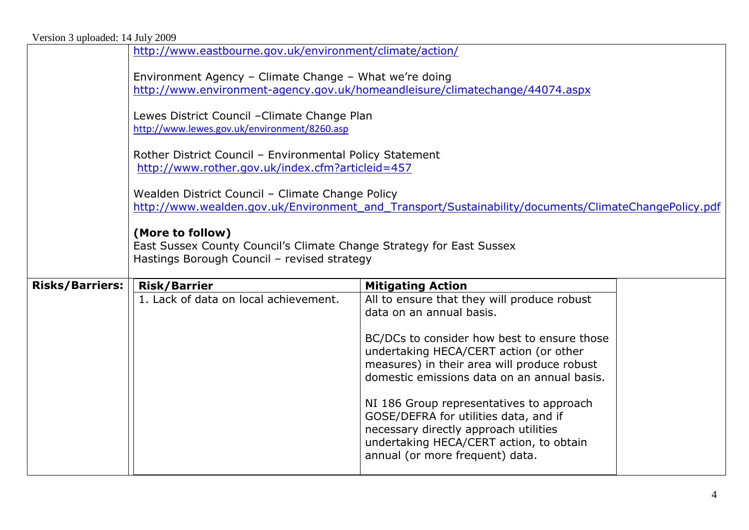| Version 3 uploaded: 14 July 2009 |                                                                                                                                                          |                                                                                                                                                                                     |  |  |  |  |
|----------------------------------|----------------------------------------------------------------------------------------------------------------------------------------------------------|-------------------------------------------------------------------------------------------------------------------------------------------------------------------------------------|--|--|--|--|
|                                  | http://www.eastbourne.gov.uk/environment/climate/action/                                                                                                 |                                                                                                                                                                                     |  |  |  |  |
|                                  | Environment Agency - Climate Change - What we're doing<br>http://www.environment-agency.gov.uk/homeandleisure/climatechange/44074.aspx                   |                                                                                                                                                                                     |  |  |  |  |
|                                  | Lewes District Council - Climate Change Plan<br>http://www.lewes.gov.uk/environment/8260.asp                                                             |                                                                                                                                                                                     |  |  |  |  |
|                                  | Rother District Council - Environmental Policy Statement<br>http://www.rother.gov.uk/index.cfm?articleid=457                                             |                                                                                                                                                                                     |  |  |  |  |
|                                  | Wealden District Council - Climate Change Policy<br>http://www.wealden.gov.uk/Environment and Transport/Sustainability/documents/ClimateChangePolicy.pdf |                                                                                                                                                                                     |  |  |  |  |
|                                  | (More to follow)<br>East Sussex County Council's Climate Change Strategy for East Sussex<br>Hastings Borough Council - revised strategy                  |                                                                                                                                                                                     |  |  |  |  |
| <b>Risks/Barriers:</b>           | <b>Risk/Barrier</b>                                                                                                                                      | <b>Mitigating Action</b>                                                                                                                                                            |  |  |  |  |
|                                  | 1. Lack of data on local achievement.                                                                                                                    | All to ensure that they will produce robust<br>data on an annual basis.                                                                                                             |  |  |  |  |
|                                  |                                                                                                                                                          | BC/DCs to consider how best to ensure those<br>undertaking HECA/CERT action (or other<br>measures) in their area will produce robust<br>domestic emissions data on an annual basis. |  |  |  |  |
|                                  |                                                                                                                                                          | NI 186 Group representatives to approach<br>GOSE/DEFRA for utilities data, and if<br>necessary directly approach utilities                                                          |  |  |  |  |
|                                  |                                                                                                                                                          | undertaking HECA/CERT action, to obtain<br>annual (or more frequent) data.                                                                                                          |  |  |  |  |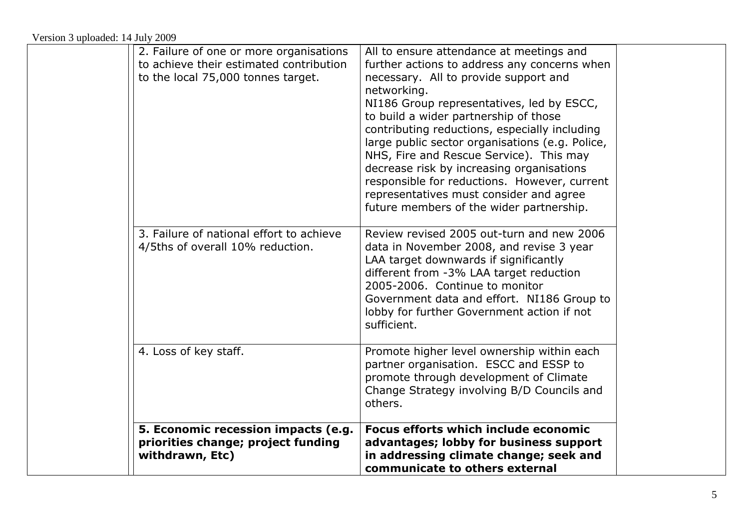| 5. Economic recession impacts (e.g.<br>priorities change; project funding<br>withdrawn, Etc)                             | Focus efforts which include economic<br>advantages; lobby for business support<br>in addressing climate change; seek and<br>communicate to others external                                                                                                                                                                                                                                                                                                                                                                                                                |  |
|--------------------------------------------------------------------------------------------------------------------------|---------------------------------------------------------------------------------------------------------------------------------------------------------------------------------------------------------------------------------------------------------------------------------------------------------------------------------------------------------------------------------------------------------------------------------------------------------------------------------------------------------------------------------------------------------------------------|--|
| 4. Loss of key staff.                                                                                                    | Promote higher level ownership within each<br>partner organisation. ESCC and ESSP to<br>promote through development of Climate<br>Change Strategy involving B/D Councils and<br>others.                                                                                                                                                                                                                                                                                                                                                                                   |  |
| 3. Failure of national effort to achieve<br>4/5ths of overall 10% reduction.                                             | Review revised 2005 out-turn and new 2006<br>data in November 2008, and revise 3 year<br>LAA target downwards if significantly<br>different from -3% LAA target reduction<br>2005-2006. Continue to monitor<br>Government data and effort. NI186 Group to<br>lobby for further Government action if not<br>sufficient.                                                                                                                                                                                                                                                    |  |
| 2. Failure of one or more organisations<br>to achieve their estimated contribution<br>to the local 75,000 tonnes target. | All to ensure attendance at meetings and<br>further actions to address any concerns when<br>necessary. All to provide support and<br>networking.<br>NI186 Group representatives, led by ESCC,<br>to build a wider partnership of those<br>contributing reductions, especially including<br>large public sector organisations (e.g. Police,<br>NHS, Fire and Rescue Service). This may<br>decrease risk by increasing organisations<br>responsible for reductions. However, current<br>representatives must consider and agree<br>future members of the wider partnership. |  |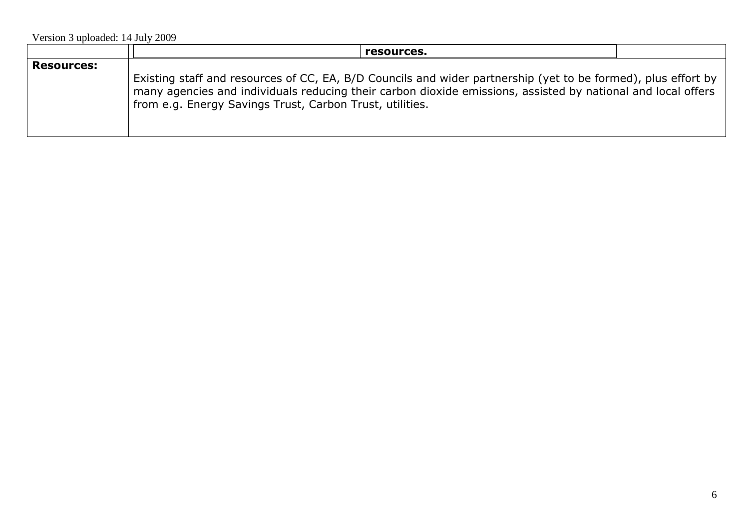Version 3 uploaded: 14 July 2009

|                   | resources.                                                                                                                                                                                                                                                                                |  |
|-------------------|-------------------------------------------------------------------------------------------------------------------------------------------------------------------------------------------------------------------------------------------------------------------------------------------|--|
| <b>Resources:</b> | Existing staff and resources of CC, EA, B/D Councils and wider partnership (yet to be formed), plus effort by<br>many agencies and individuals reducing their carbon dioxide emissions, assisted by national and local offers<br>from e.g. Energy Savings Trust, Carbon Trust, utilities. |  |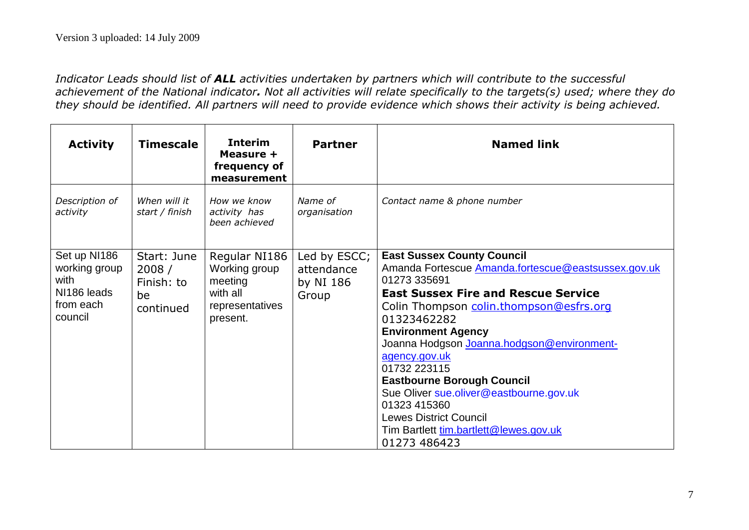*Indicator Leads should list of ALL activities undertaken by partners which will contribute to the successful achievement of the National indicator. Not all activities will relate specifically to the targets(s) used; where they do they should be identified. All partners will need to provide evidence which shows their activity is being achieved.*

| <b>Activity</b>                                                              | <b>Timescale</b>                                      | <b>Interim</b><br>Measure +<br>frequency of<br>measurement                           | <b>Partner</b>                                   | <b>Named link</b>                                                                                                                                                                                                                                                                                                                                                                                                                                                                                                       |
|------------------------------------------------------------------------------|-------------------------------------------------------|--------------------------------------------------------------------------------------|--------------------------------------------------|-------------------------------------------------------------------------------------------------------------------------------------------------------------------------------------------------------------------------------------------------------------------------------------------------------------------------------------------------------------------------------------------------------------------------------------------------------------------------------------------------------------------------|
| Description of<br>activity                                                   | When will it<br>start / finish                        | How we know<br>activity has<br>been achieved                                         | Name of<br>organisation                          | Contact name & phone number                                                                                                                                                                                                                                                                                                                                                                                                                                                                                             |
| Set up NI186<br>working group<br>with<br>NI186 leads<br>from each<br>council | Start: June<br>2008/<br>Finish: to<br>be<br>continued | Regular NI186<br>Working group<br>meeting<br>with all<br>representatives<br>present. | Led by ESCC;<br>attendance<br>by NI 186<br>Group | <b>East Sussex County Council</b><br>Amanda Fortescue Amanda.fortescue@eastsussex.gov.uk<br>01273 335691<br><b>East Sussex Fire and Rescue Service</b><br>Colin Thompson colin.thompson@esfrs.org<br>01323462282<br><b>Environment Agency</b><br>Joanna Hodgson Joanna.hodgson@environment-<br>agency.gov.uk<br>01732 223115<br><b>Eastbourne Borough Council</b><br>Sue Oliver sue.oliver@eastbourne.gov.uk<br>01323 415360<br><b>Lewes District Council</b><br>Tim Bartlett tim.bartlett@lewes.gov.uk<br>01273 486423 |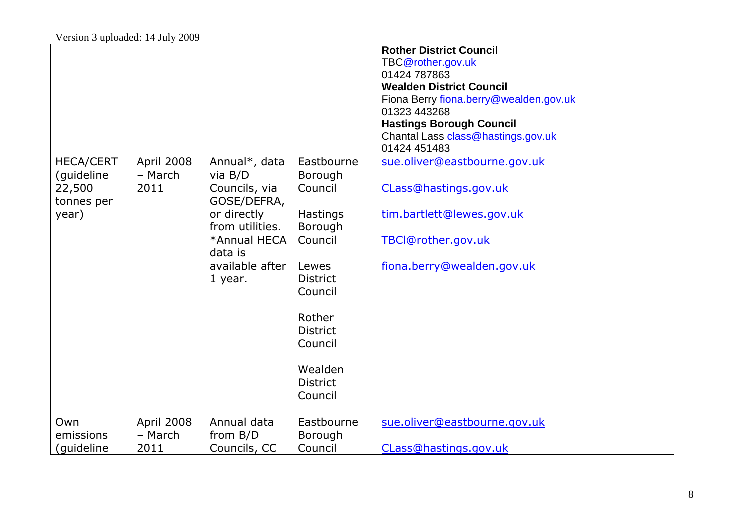|                     |            |                            |                            | <b>Rother District Council</b><br>TBC@rother.gov.uk |
|---------------------|------------|----------------------------|----------------------------|-----------------------------------------------------|
|                     |            |                            |                            | 01424 787863<br><b>Wealden District Council</b>     |
|                     |            |                            |                            | Fiona Berry fiona.berry@wealden.gov.uk              |
|                     |            |                            |                            | 01323 443268                                        |
|                     |            |                            |                            | <b>Hastings Borough Council</b>                     |
|                     |            |                            |                            | Chantal Lass class@hastings.gov.uk                  |
|                     |            |                            |                            | 01424 451483                                        |
| <b>HECA/CERT</b>    | April 2008 | Annual*, data              | Eastbourne                 | sue.oliver@eastbourne.gov.uk                        |
| (guideline          | - March    | via $B/D$                  | Borough                    |                                                     |
| 22,500              | 2011       | Councils, via              | Council                    | CLass@hastings.gov.uk                               |
| tonnes per<br>year) |            | GOSE/DEFRA,<br>or directly |                            | tim.bartlett@lewes.gov.uk                           |
|                     |            | from utilities.            | <b>Hastings</b><br>Borough |                                                     |
|                     |            | *Annual HECA               | Council                    | TBCI@rother.gov.uk                                  |
|                     |            | data is                    |                            |                                                     |
|                     |            | available after            | Lewes                      | fiona.berry@wealden.gov.uk                          |
|                     |            | 1 year.                    | <b>District</b>            |                                                     |
|                     |            |                            | Council                    |                                                     |
|                     |            |                            |                            |                                                     |
|                     |            |                            | Rother                     |                                                     |
|                     |            |                            | <b>District</b>            |                                                     |
|                     |            |                            | Council                    |                                                     |
|                     |            |                            | Wealden                    |                                                     |
|                     |            |                            | <b>District</b>            |                                                     |
|                     |            |                            | Council                    |                                                     |
|                     |            |                            |                            |                                                     |
| Own                 | April 2008 | Annual data                | Eastbourne                 | sue.oliver@eastbourne.gov.uk                        |
| emissions           | - March    | from B/D                   | Borough                    |                                                     |
| (guideline          | 2011       | Councils, CC               | Council                    | CLass@hastings.gov.uk                               |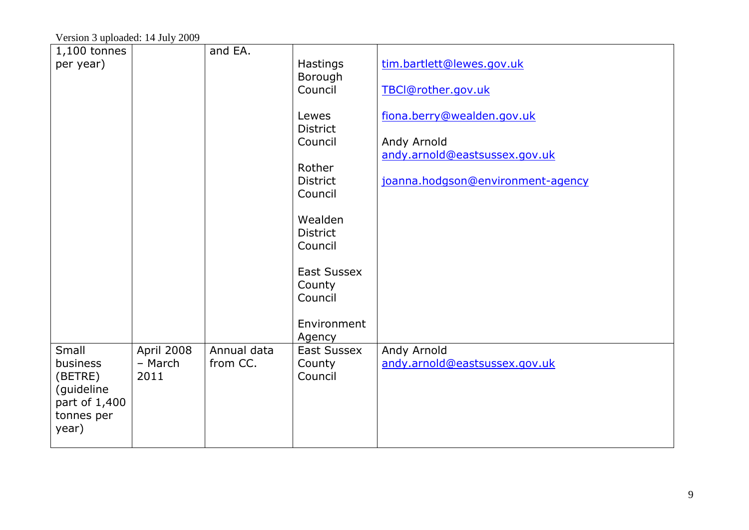Version 3 uploaded: 14 July 2009

| $1,100$ tonnes |            | and EA.     |                              |                                              |
|----------------|------------|-------------|------------------------------|----------------------------------------------|
| per year)      |            |             | Hastings                     | tim.bartlett@lewes.gov.uk                    |
|                |            |             | Borough                      |                                              |
|                |            |             | Council                      | TBCI@rother.gov.uk                           |
|                |            |             |                              |                                              |
|                |            |             | Lewes                        | fiona.berry@wealden.gov.uk                   |
|                |            |             | <b>District</b><br>Council   |                                              |
|                |            |             |                              | Andy Arnold<br>andy.arnold@eastsussex.gov.uk |
|                |            |             | Rother                       |                                              |
|                |            |             | <b>District</b>              | joanna.hodgson@environment-agency            |
|                |            |             | Council                      |                                              |
|                |            |             |                              |                                              |
|                |            |             | Wealden                      |                                              |
|                |            |             | <b>District</b>              |                                              |
|                |            |             | Council                      |                                              |
|                |            |             |                              |                                              |
|                |            |             | <b>East Sussex</b>           |                                              |
|                |            |             | County                       |                                              |
|                |            |             | Council                      |                                              |
|                |            |             |                              |                                              |
|                |            |             | Environment                  |                                              |
| Small          | April 2008 | Annual data | Agency<br><b>East Sussex</b> | Andy Arnold                                  |
| business       | - March    | from CC.    | County                       | andy.arnold@eastsussex.gov.uk                |
| (BETRE)        | 2011       |             | Council                      |                                              |
| (guideline     |            |             |                              |                                              |
| part of 1,400  |            |             |                              |                                              |
| tonnes per     |            |             |                              |                                              |
| year)          |            |             |                              |                                              |
|                |            |             |                              |                                              |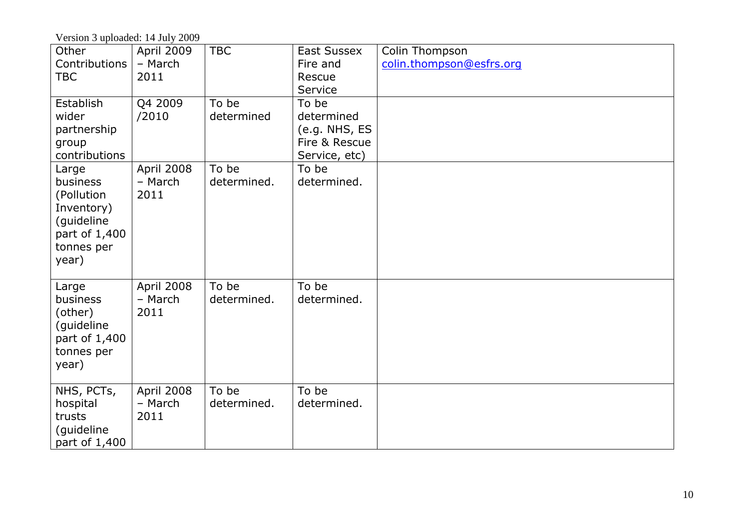Version 3 uploaded: 14 July 2009

| Other<br>Contributions<br><b>TBC</b>                                                                | April 2009<br>- March<br>2011 | <b>TBC</b>           | East Sussex<br>Fire and<br>Rescue<br>Service                           | Colin Thompson<br>colin.thompson@esfrs.org |
|-----------------------------------------------------------------------------------------------------|-------------------------------|----------------------|------------------------------------------------------------------------|--------------------------------------------|
| Establish<br>wider<br>partnership<br>group<br>contributions                                         | Q4 2009<br>/2010              | To be<br>determined  | To be<br>determined<br>(e.g. NHS, ES<br>Fire & Rescue<br>Service, etc) |                                            |
| Large<br>business<br>(Pollution<br>Inventory)<br>(guideline<br>part of 1,400<br>tonnes per<br>year) | April 2008<br>- March<br>2011 | To be<br>determined. | To be<br>determined.                                                   |                                            |
| Large<br>business<br>(other)<br>(guideline<br>part of 1,400<br>tonnes per<br>year)                  | April 2008<br>- March<br>2011 | To be<br>determined. | To be<br>determined.                                                   |                                            |
| NHS, PCTs,<br>hospital<br>trusts<br>(guideline<br>part of 1,400                                     | April 2008<br>- March<br>2011 | To be<br>determined. | To be<br>determined.                                                   |                                            |